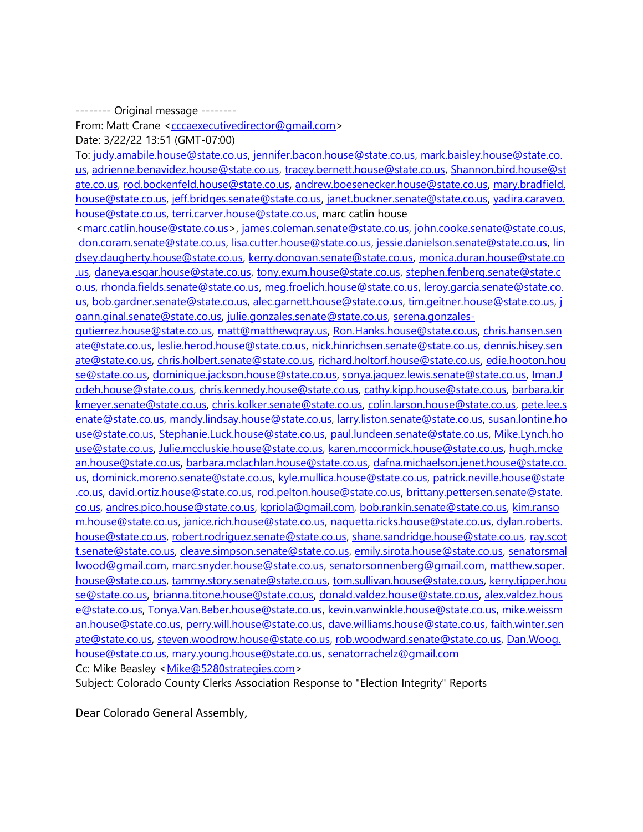-------- Original message --------

From: Matt Crane [<cccaexecutivedirector@gmail.com>](mailto:cccaexecutivedirector@gmail.com)

Date: 3/22/22 13:51 (GMT-07:00)

To: [judy.amabile.house@state.co.us,](mailto:judy.amabile.house@state.co.us) [jennifer.bacon.house@state.co.us,](mailto:jennifer.bacon.house@state.co.us) [mark.baisley.house@state.co.](mailto:mark.baisley.house@state.co.us) [us,](mailto:mark.baisley.house@state.co.us) [adrienne.benavidez.house@state.co.us,](mailto:adrienne.benavidez.house@state.co.us) [tracey.bernett.house@state.co.us,](mailto:tracey.bernett.house@state.co.us) [Shannon.bird.house@st](mailto:Shannon.bird.house@state.co.us) [ate.co.us,](mailto:Shannon.bird.house@state.co.us) [rod.bockenfeld.house@state.co.us,](mailto:rod.bockenfeld.house@state.co.us) [andrew.boesenecker.house@state.co.us,](mailto:andrew.boesenecker.house@state.co.us) [mary.bradfield.](mailto:mary.bradfield.house@state.co.us) [house@state.co.us,](mailto:mary.bradfield.house@state.co.us) [jeff.bridges.senate@state.co.us,](mailto:jeff.bridges.senate@state.co.us) [janet.buckner.senate@state.co.us,](mailto:janet.buckner.senate@state.co.us) [yadira.caraveo.](mailto:yadira.caraveo.house@state.co.us) [house@state.co.us,](mailto:yadira.caraveo.house@state.co.us) [terri.carver.house@state.co.us,](mailto:terri.carver.house@state.co.us) marc catlin house

[<marc.catlin.house@state.co.us>](mailto:marc.catlin.house@state.co.us), [james.coleman.senate@state.co.us,](mailto:james.coleman.senate@state.co.us) [john.cooke.senate@state.co.us,](mailto:john.cooke.senate@state.co.us) [don.coram.senate@state.co.us,](mailto:don.coram.senate@state.co.us) [lisa.cutter.house@state.co.us,](mailto:lisa.cutter.house@state.co.us) [jessie.danielson.senate@state.co.us,](mailto:jessie.danielson.senate@state.co.us) [lin](mailto:lindsey.daugherty.house@state.co.us) [dsey.daugherty.house@state.co.us,](mailto:lindsey.daugherty.house@state.co.us) [kerry.donovan.senate@state.co.us,](mailto:kerry.donovan.senate@state.co.us) [monica.duran.house@state.co](mailto:monica.duran.house@state.co.us) [.us,](mailto:monica.duran.house@state.co.us) [daneya.esgar.house@state.co.us,](mailto:daneya.esgar.house@state.co.us) [tony.exum.house@state.co.us,](mailto:tony.exum.house@state.co.us) [stephen.fenberg.senate@state.c](mailto:stephen.fenberg.senate@state.co.us) [o.us,](mailto:stephen.fenberg.senate@state.co.us) [rhonda.fields.senate@state.co.us,](mailto:rhonda.fields.senate@state.co.us) [meg.froelich.house@state.co.us,](mailto:meg.froelich.house@state.co.us) [leroy.garcia.senate@state.co.](mailto:leroy.garcia.senate@state.co.us) [us,](mailto:leroy.garcia.senate@state.co.us) [bob.gardner.senate@state.co.us,](mailto:bob.gardner.senate@state.co.us) [alec.garnett.house@state.co.us,](mailto:alec.garnett.house@state.co.us) [tim.geitner.house@state.co.us,](mailto:tim.geitner.house@state.co.us) [j](mailto:joann.ginal.senate@state.co.us) [oann.ginal.senate@state.co.us,](mailto:joann.ginal.senate@state.co.us) [julie.gonzales.senate@state.co.us,](mailto:julie.gonzales.senate@state.co.us) [serena.gonzales-](mailto:serena.gonzales-gutierrez.house@state.co.us)

[gutierrez.house@state.co.us,](mailto:serena.gonzales-gutierrez.house@state.co.us) [matt@matthewgray.us,](mailto:matt@matthewgray.us) [Ron.Hanks.house@state.co.us,](mailto:Ron.Hanks.house@state.co.us) [chris.hansen.sen](mailto:chris.hansen.senate@state.co.us) [ate@state.co.us,](mailto:chris.hansen.senate@state.co.us) [leslie.herod.house@state.co.us,](mailto:leslie.herod.house@state.co.us) [nick.hinrichsen.senate@state.co.us,](mailto:nick.hinrichsen.senate@state.co.us) [dennis.hisey.sen](mailto:dennis.hisey.senate@state.co.us) [ate@state.co.us,](mailto:dennis.hisey.senate@state.co.us) [chris.holbert.senate@state.co.us,](mailto:chris.holbert.senate@state.co.us) [richard.holtorf.house@state.co.us,](mailto:richard.holtorf.house@state.co.us) [edie.hooton.hou](mailto:edie.hooton.house@state.co.us) [se@state.co.us,](mailto:edie.hooton.house@state.co.us) [dominique.jackson.house@state.co.us,](mailto:dominique.jackson.house@state.co.us) [sonya.jaquez.lewis.senate@state.co.us,](mailto:sonya.jaquez.lewis.senate@state.co.us) [Iman.J](mailto:Iman.Jodeh.house@state.co.us) [odeh.house@state.co.us,](mailto:Iman.Jodeh.house@state.co.us) [chris.kennedy.house@state.co.us,](mailto:chris.kennedy.house@state.co.us) [cathy.kipp.house@state.co.us,](mailto:cathy.kipp.house@state.co.us) [barbara.kir](mailto:barbara.kirkmeyer.senate@state.co.us) [kmeyer.senate@state.co.us,](mailto:barbara.kirkmeyer.senate@state.co.us) [chris.kolker.senate@state.co.us,](mailto:chris.kolker.senate@state.co.us) [colin.larson.house@state.co.us,](mailto:colin.larson.house@state.co.us) [pete.lee.s](mailto:pete.lee.senate@state.co.us) [enate@state.co.us,](mailto:pete.lee.senate@state.co.us) [mandy.lindsay.house@state.co.us,](mailto:mandy.lindsay.house@state.co.us) [larry.liston.senate@state.co.us,](mailto:larry.liston.senate@state.co.us) [susan.lontine.ho](mailto:susan.lontine.house@state.co.us) [use@state.co.us,](mailto:susan.lontine.house@state.co.us) [Stephanie.Luck.house@state.co.us,](mailto:Stephanie.Luck.house@state.co.us) [paul.lundeen.senate@state.co.us,](mailto:paul.lundeen.senate@state.co.us) [Mike.Lynch.ho](mailto:Mike.Lynch.house@state.co.us) [use@state.co.us,](mailto:Mike.Lynch.house@state.co.us) [Julie.mccluskie.house@state.co.us,](mailto:Julie.mccluskie.house@state.co.us) [karen.mccormick.house@state.co.us,](mailto:karen.mccormick.house@state.co.us) [hugh.mcke](mailto:hugh.mckean.house@state.co.us) [an.house@state.co.us,](mailto:hugh.mckean.house@state.co.us) [barbara.mclachlan.house@state.co.us,](mailto:barbara.mclachlan.house@state.co.us) [dafna.michaelson.jenet.house@state.co.](mailto:dafna.michaelson.jenet.house@state.co.us) [us,](mailto:dafna.michaelson.jenet.house@state.co.us) [dominick.moreno.senate@state.co.us,](mailto:dominick.moreno.senate@state.co.us) [kyle.mullica.house@state.co.us,](mailto:kyle.mullica.house@state.co.us) [patrick.neville.house@state](mailto:patrick.neville.house@state.co.us) [.co.us,](mailto:patrick.neville.house@state.co.us) [david.ortiz.house@state.co.us,](mailto:david.ortiz.house@state.co.us) [rod.pelton.house@state.co.us,](mailto:rod.pelton.house@state.co.us) [brittany.pettersen.senate@state.](mailto:brittany.pettersen.senate@state.co.us) [co.us,](mailto:brittany.pettersen.senate@state.co.us) [andres.pico.house@state.co.us,](mailto:andres.pico.house@state.co.us) [kpriola@gmail.com,](mailto:kpriola@gmail.com) [bob.rankin.senate@state.co.us,](mailto:bob.rankin.senate@state.co.us) [kim.ranso](mailto:kim.ransom.house@state.co.us) [m.house@state.co.us,](mailto:kim.ransom.house@state.co.us) [janice.rich.house@state.co.us,](mailto:janice.rich.house@state.co.us) [naquetta.ricks.house@state.co.us,](mailto:naquetta.ricks.house@state.co.us) [dylan.roberts.](mailto:dylan.roberts.house@state.co.us) [house@state.co.us,](mailto:dylan.roberts.house@state.co.us) [robert.rodriguez.senate@state.co.us,](mailto:robert.rodriguez.senate@state.co.us) [shane.sandridge.house@state.co.us,](mailto:shane.sandridge.house@state.co.us) [ray.scot](mailto:ray.scott.senate@state.co.us) [t.senate@state.co.us,](mailto:ray.scott.senate@state.co.us) [cleave.simpson.senate@state.co.us,](mailto:cleave.simpson.senate@state.co.us) [emily.sirota.house@state.co.us,](mailto:emily.sirota.house@state.co.us) [senatorsmal](mailto:senatorsmallwood@gmail.com) [lwood@gmail.com,](mailto:senatorsmallwood@gmail.com) [marc.snyder.house@state.co.us,](mailto:marc.snyder.house@state.co.us) [senatorsonnenberg@gmail.com,](mailto:senatorsonnenberg@gmail.com) [matthew.soper.](mailto:matthew.soper.house@state.co.us) [house@state.co.us,](mailto:matthew.soper.house@state.co.us) [tammy.story.senate@state.co.us,](mailto:tammy.story.senate@state.co.us) [tom.sullivan.house@state.co.us,](mailto:tom.sullivan.house@state.co.us) [kerry.tipper.hou](mailto:kerry.tipper.house@state.co.us) [se@state.co.us,](mailto:kerry.tipper.house@state.co.us) [brianna.titone.house@state.co.us,](mailto:brianna.titone.house@state.co.us) [donald.valdez.house@state.co.us,](mailto:donald.valdez.house@state.co.us) [alex.valdez.hous](mailto:alex.valdez.house@state.co.us) [e@state.co.us,](mailto:alex.valdez.house@state.co.us) [Tonya.Van.Beber.house@state.co.us,](mailto:Tonya.Van.Beber.house@state.co.us) [kevin.vanwinkle.house@state.co.us,](mailto:kevin.vanwinkle.house@state.co.us) [mike.weissm](mailto:mike.weissman.house@state.co.us) [an.house@state.co.us,](mailto:mike.weissman.house@state.co.us) [perry.will.house@state.co.us,](mailto:perry.will.house@state.co.us) [dave.williams.house@state.co.us,](mailto:dave.williams.house@state.co.us) [faith.winter.sen](mailto:faith.winter.senate@state.co.us) [ate@state.co.us,](mailto:faith.winter.senate@state.co.us) [steven.woodrow.house@state.co.us,](mailto:steven.woodrow.house@state.co.us) [rob.woodward.senate@state.co.us,](mailto:rob.woodward.senate@state.co.us) [Dan.Woog.](mailto:Dan.Woog.house@state.co.us) [house@state.co.us,](mailto:Dan.Woog.house@state.co.us) [mary.young.house@state.co.us,](mailto:mary.young.house@state.co.us) [senatorrachelz@gmail.com](mailto:senatorrachelz@gmail.com) Cc: Mike Beasley < Mike@5280strategies.com>

Subject: Colorado County Clerks Association Response to "Election Integrity" Reports

Dear Colorado General Assembly,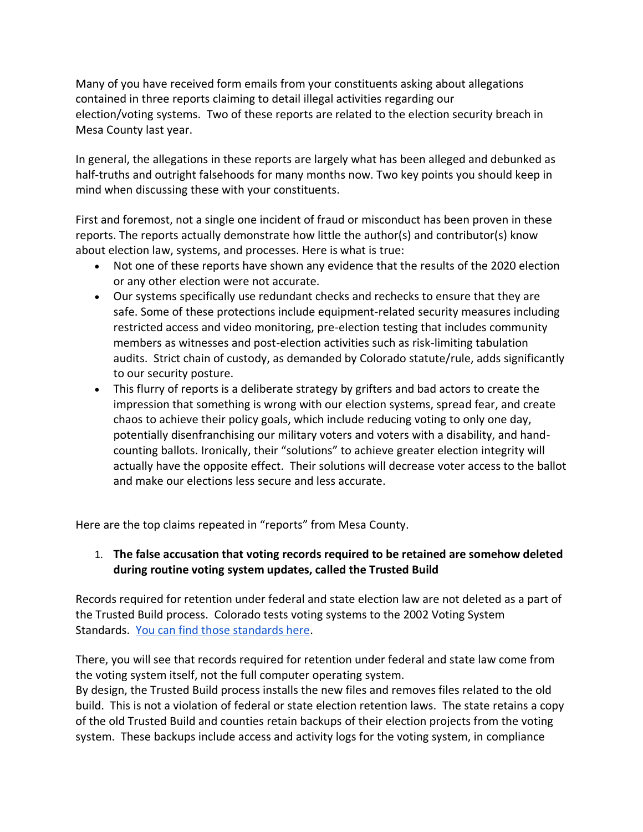Many of you have received form emails from your constituents asking about allegations contained in three reports claiming to detail illegal activities regarding our election/voting systems. Two of these reports are related to the election security breach in Mesa County last year.

In general, the allegations in these reports are largely what has been alleged and debunked as half-truths and outright falsehoods for many months now. Two key points you should keep in mind when discussing these with your constituents.

First and foremost, not a single one incident of fraud or misconduct has been proven in these reports. The reports actually demonstrate how little the author(s) and contributor(s) know about election law, systems, and processes. Here is what is true:

- Not one of these reports have shown any evidence that the results of the 2020 election or any other election were not accurate.
- Our systems specifically use redundant checks and rechecks to ensure that they are safe. Some of these protections include equipment-related security measures including restricted access and video monitoring, pre-election testing that includes community members as witnesses and post-election activities such as risk-limiting tabulation audits. Strict chain of custody, as demanded by Colorado statute/rule, adds significantly to our security posture.
- This flurry of reports is a deliberate strategy by grifters and bad actors to create the impression that something is wrong with our election systems, spread fear, and create chaos to achieve their policy goals, which include reducing voting to only one day, potentially disenfranchising our military voters and voters with a disability, and handcounting ballots. Ironically, their "solutions" to achieve greater election integrity will actually have the opposite effect. Their solutions will decrease voter access to the ballot and make our elections less secure and less accurate.

Here are the top claims repeated in "reports" from Mesa County.

#### 1. **The false accusation that voting records required to be retained are somehow deleted during routine voting system updates, called the Trusted Build**

Records required for retention under federal and state election law are not deleted as a part of the Trusted Build process. Colorado tests voting systems to the 2002 Voting System Standards. [You can find those standards here.](https://urldefense.proofpoint.com/v2/url?u=https-3A__www.eac.gov_voting-2Dequipment_voluntary-2Dvoting-2Dsystem-2Dguidelines&d=DwMFaQ&c=sdnEM9SRGFuMt5z5w3AhsPNahmNicq64TgF1JwNR0cs&r=C_GBc4XA7L1OjAbXi-Pz-kCyhzqkQoXeBNNC6Shq1Pc&m=9zamCzGgFO8Er_czMV0RcxaXXKZHRqd8Y_BWFMT8NKgaojddpgEUtu0lfQyx0cmp&s=YbEjs41YCoyo4cnSpStWBuQqW6UL6WnbWb-eYF-3HME&e=)

There, you will see that records required for retention under federal and state law come from the voting system itself, not the full computer operating system.

By design, the Trusted Build process installs the new files and removes files related to the old build. This is not a violation of federal or state election retention laws. The state retains a copy of the old Trusted Build and counties retain backups of their election projects from the voting system. These backups include access and activity logs for the voting system, in compliance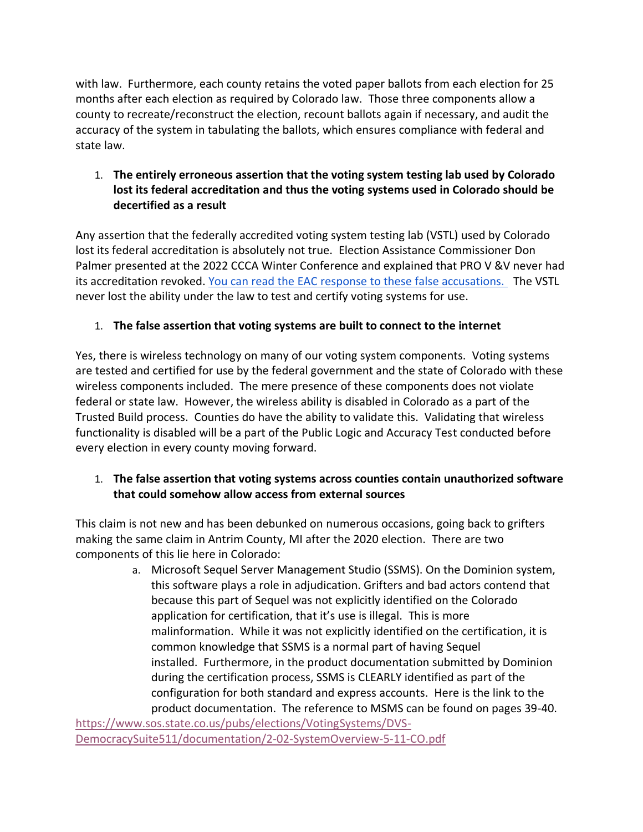with law. Furthermore, each county retains the voted paper ballots from each election for 25 months after each election as required by Colorado law. Those three components allow a county to recreate/reconstruct the election, recount ballots again if necessary, and audit the accuracy of the system in tabulating the ballots, which ensures compliance with federal and state law.

#### 1. **The entirely erroneous assertion that the voting system testing lab used by Colorado lost its federal accreditation and thus the voting systems used in Colorado should be decertified as a result**

Any assertion that the federally accredited voting system testing lab (VSTL) used by Colorado lost its federal accreditation is absolutely not true. Election Assistance Commissioner Don Palmer presented at the 2022 CCCA Winter Conference and explained that PRO V &V never had its accreditation revoked. [You can read the EAC response to these false accusations.](https://urldefense.proofpoint.com/v2/url?u=https-3A__www.eac.gov_voting-2Dequipment_voting-2Dsystem-2Dtest-2Dlaboratories-2Dvstl_pro-2Dvv&d=DwMFaQ&c=sdnEM9SRGFuMt5z5w3AhsPNahmNicq64TgF1JwNR0cs&r=C_GBc4XA7L1OjAbXi-Pz-kCyhzqkQoXeBNNC6Shq1Pc&m=9zamCzGgFO8Er_czMV0RcxaXXKZHRqd8Y_BWFMT8NKgaojddpgEUtu0lfQyx0cmp&s=Q80eoBy8_H5nc27sReQuKLCDnbYrt703bNioPZOmXW0&e=) The VSTL never lost the ability under the law to test and certify voting systems for use.

## 1. **The false assertion that voting systems are built to connect to the internet**

Yes, there is wireless technology on many of our voting system components. Voting systems are tested and certified for use by the federal government and the state of Colorado with these wireless components included. The mere presence of these components does not violate federal or state law. However, the wireless ability is disabled in Colorado as a part of the Trusted Build process. Counties do have the ability to validate this. Validating that wireless functionality is disabled will be a part of the Public Logic and Accuracy Test conducted before every election in every county moving forward.

## 1. **The false assertion that voting systems across counties contain unauthorized software that could somehow allow access from external sources**

This claim is not new and has been debunked on numerous occasions, going back to grifters making the same claim in Antrim County, MI after the 2020 election. There are two components of this lie here in Colorado:

a. Microsoft Sequel Server Management Studio (SSMS). On the Dominion system, this software plays a role in adjudication. Grifters and bad actors contend that because this part of Sequel was not explicitly identified on the Colorado application for certification, that it's use is illegal. This is more malinformation. While it was not explicitly identified on the certification, it is common knowledge that SSMS is a normal part of having Sequel installed. Furthermore, in the product documentation submitted by Dominion during the certification process, SSMS is CLEARLY identified as part of the configuration for both standard and express accounts. Here is the link to the product documentation. The reference to MSMS can be found on pages 39-40. [https://www.sos.state.co.us/pubs/elections/VotingSystems/DVS-](https://www.sos.state.co.us/pubs/elections/VotingSystems/DVS-DemocracySuite511/documentation/2-02-SystemOverview-5-11-CO.pdf)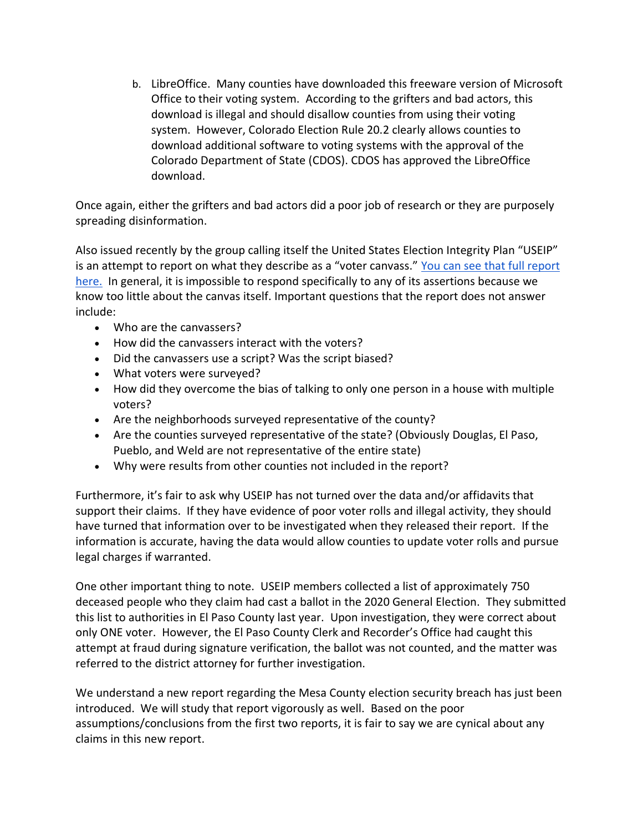b. LibreOffice. Many counties have downloaded this freeware version of Microsoft Office to their voting system. According to the grifters and bad actors, this download is illegal and should disallow counties from using their voting system. However, Colorado Election Rule 20.2 clearly allows counties to download additional software to voting systems with the approval of the Colorado Department of State (CDOS). CDOS has approved the LibreOffice download.

Once again, either the grifters and bad actors did a poor job of research or they are purposely spreading disinformation.

Also issued recently by the group calling itself the United States Election Integrity Plan "USEIP" is an attempt to report on what they describe as a "voter canvass." [You can see that full report](https://urldefense.proofpoint.com/v2/url?u=https-3A__useipdotus.files.wordpress.com_2022_03_useip-2Dcolorado-2Dcanvassing-2Dreport.pdf&d=DwMFaQ&c=sdnEM9SRGFuMt5z5w3AhsPNahmNicq64TgF1JwNR0cs&r=C_GBc4XA7L1OjAbXi-Pz-kCyhzqkQoXeBNNC6Shq1Pc&m=9zamCzGgFO8Er_czMV0RcxaXXKZHRqd8Y_BWFMT8NKgaojddpgEUtu0lfQyx0cmp&s=xUyBmO84s6NLegorEmoJdzQuqDENrE3h1N_VfHvk960&e=)  [here.](https://urldefense.proofpoint.com/v2/url?u=https-3A__useipdotus.files.wordpress.com_2022_03_useip-2Dcolorado-2Dcanvassing-2Dreport.pdf&d=DwMFaQ&c=sdnEM9SRGFuMt5z5w3AhsPNahmNicq64TgF1JwNR0cs&r=C_GBc4XA7L1OjAbXi-Pz-kCyhzqkQoXeBNNC6Shq1Pc&m=9zamCzGgFO8Er_czMV0RcxaXXKZHRqd8Y_BWFMT8NKgaojddpgEUtu0lfQyx0cmp&s=xUyBmO84s6NLegorEmoJdzQuqDENrE3h1N_VfHvk960&e=) In general, it is impossible to respond specifically to any of its assertions because we know too little about the canvas itself. Important questions that the report does not answer include:

- Who are the canvassers?
- How did the canvassers interact with the voters?
- Did the canvassers use a script? Was the script biased?
- What voters were surveyed?
- How did they overcome the bias of talking to only one person in a house with multiple voters?
- Are the neighborhoods surveyed representative of the county?
- Are the counties surveyed representative of the state? (Obviously Douglas, El Paso, Pueblo, and Weld are not representative of the entire state)
- Why were results from other counties not included in the report?

Furthermore, it's fair to ask why USEIP has not turned over the data and/or affidavits that support their claims. If they have evidence of poor voter rolls and illegal activity, they should have turned that information over to be investigated when they released their report. If the information is accurate, having the data would allow counties to update voter rolls and pursue legal charges if warranted.

One other important thing to note. USEIP members collected a list of approximately 750 deceased people who they claim had cast a ballot in the 2020 General Election. They submitted this list to authorities in El Paso County last year. Upon investigation, they were correct about only ONE voter. However, the El Paso County Clerk and Recorder's Office had caught this attempt at fraud during signature verification, the ballot was not counted, and the matter was referred to the district attorney for further investigation.

We understand a new report regarding the Mesa County election security breach has just been introduced. We will study that report vigorously as well. Based on the poor assumptions/conclusions from the first two reports, it is fair to say we are cynical about any claims in this new report.